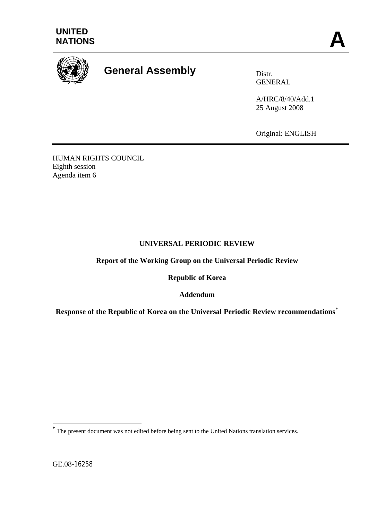



# **General Assembly** Distr.

GENERAL

A/HRC/8/40/Add.1 25 August 2008

Original: ENGLISH

HUMAN RIGHTS COUNCIL Eighth session Agenda item 6

## **UNIVERSAL PERIODIC REVIEW**

**Report of the Working Group on the Universal Periodic Review** 

**Republic of Korea** 

**Addendum** 

**Response of the Republic of Korea on the Universal Periodic Review recommendations**[\\*](#page-0-0)

GE.08-16258

1

<span id="page-0-0"></span>**<sup>\*</sup>** The present document was not edited before being sent to the United Nations translation services.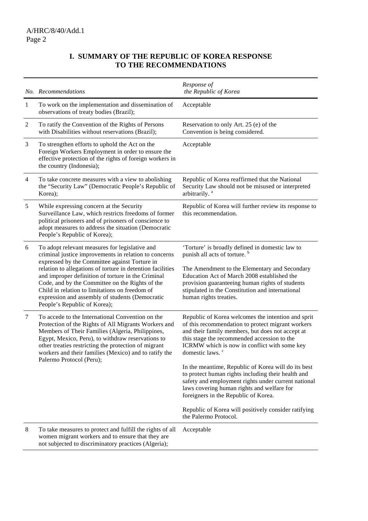# **I. SUMMARY OF THE REPUBLIC OF KOREA RESPONSE TO THE RECOMMENDATIONS**

|              | No. Recommendations                                                                                                                                                                                                                                                                                                                                                                                                                                                  | Response of<br>the Republic of Korea                                                                                                                                                                                                                                                                                                                                                                                                                                                                                                                                                                                                 |
|--------------|----------------------------------------------------------------------------------------------------------------------------------------------------------------------------------------------------------------------------------------------------------------------------------------------------------------------------------------------------------------------------------------------------------------------------------------------------------------------|--------------------------------------------------------------------------------------------------------------------------------------------------------------------------------------------------------------------------------------------------------------------------------------------------------------------------------------------------------------------------------------------------------------------------------------------------------------------------------------------------------------------------------------------------------------------------------------------------------------------------------------|
| $\mathbf{1}$ | To work on the implementation and dissemination of<br>observations of treaty bodies (Brazil);                                                                                                                                                                                                                                                                                                                                                                        | Acceptable                                                                                                                                                                                                                                                                                                                                                                                                                                                                                                                                                                                                                           |
| $\sqrt{2}$   | To ratify the Convention of the Rights of Persons<br>with Disabilities without reservations (Brazil);                                                                                                                                                                                                                                                                                                                                                                | Reservation to only Art. 25 (e) of the<br>Convention is being considered.                                                                                                                                                                                                                                                                                                                                                                                                                                                                                                                                                            |
| 3            | To strengthen efforts to uphold the Act on the<br>Foreign Workers Employment in order to ensure the<br>effective protection of the rights of foreign workers in<br>the country (Indonesia);                                                                                                                                                                                                                                                                          | Acceptable                                                                                                                                                                                                                                                                                                                                                                                                                                                                                                                                                                                                                           |
| 4            | To take concrete measures with a view to abolishing<br>the "Security Law" (Democratic People's Republic of<br>Korea);                                                                                                                                                                                                                                                                                                                                                | Republic of Korea reaffirmed that the National<br>Security Law should not be misused or interpreted<br>arbitrarily. <sup>a</sup>                                                                                                                                                                                                                                                                                                                                                                                                                                                                                                     |
| $\sqrt{5}$   | While expressing concern at the Security<br>Surveillance Law, which restricts freedoms of former<br>political prisoners and of prisoners of conscience to<br>adopt measures to address the situation (Democratic<br>People's Republic of Korea);                                                                                                                                                                                                                     | Republic of Korea will further review its response to<br>this recommendation.                                                                                                                                                                                                                                                                                                                                                                                                                                                                                                                                                        |
| 6            | To adopt relevant measures for legislative and<br>criminal justice improvements in relation to concerns<br>expressed by the Committee against Torture in<br>relation to allegations of torture in detention facilities<br>and improper definition of torture in the Criminal<br>Code, and by the Committee on the Rights of the<br>Child in relation to limitations on freedom of<br>expression and assembly of students (Democratic<br>People's Republic of Korea); | 'Torture' is broadly defined in domestic law to<br>punish all acts of torture. <sup>b</sup><br>The Amendment to the Elementary and Secondary<br>Education Act of March 2008 established the<br>provision guaranteeing human rights of students<br>stipulated in the Constitution and international<br>human rights treaties.                                                                                                                                                                                                                                                                                                         |
| 7            | To accede to the International Convention on the<br>Protection of the Rights of All Migrants Workers and<br>Members of Their Families (Algeria, Philippines,<br>Egypt, Mexico, Peru), to withdraw reservations to<br>other treaties restricting the protection of migrant<br>workers and their families (Mexico) and to ratify the<br>Palermo Protocol (Peru);                                                                                                       | Republic of Korea welcomes the intention and sprit<br>of this recommendation to protect migrant workers<br>and their family members, but does not accept at<br>this stage the recommended accession to the<br>ICRMW which is now in conflict with some key<br>domestic laws. <sup>c</sup><br>In the meantime, Republic of Korea will do its best<br>to protect human rights including their health and<br>safety and employment rights under current national<br>laws covering human rights and welfare for<br>foreigners in the Republic of Korea.<br>Republic of Korea will positively consider ratifying<br>the Palermo Protocol. |
| $\,8\,$      | To take measures to protect and fulfill the rights of all<br>women migrant workers and to ensure that they are<br>not subjected to discriminatory practices (Algeria);                                                                                                                                                                                                                                                                                               | Acceptable                                                                                                                                                                                                                                                                                                                                                                                                                                                                                                                                                                                                                           |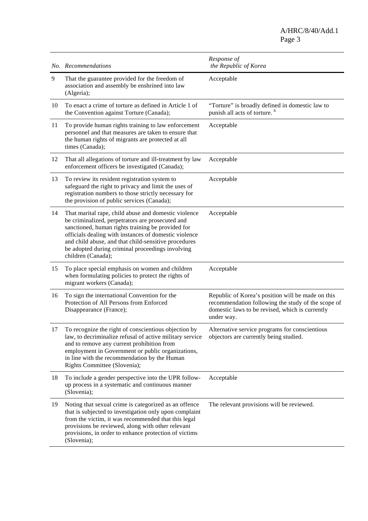A/HRC/8/40/Add.1 Page 3

|    | No. Recommendations                                                                                                                                                                                                                                                                                                                                      | Response of<br>the Republic of Korea                                                                                                                                     |
|----|----------------------------------------------------------------------------------------------------------------------------------------------------------------------------------------------------------------------------------------------------------------------------------------------------------------------------------------------------------|--------------------------------------------------------------------------------------------------------------------------------------------------------------------------|
| 9  | That the guarantee provided for the freedom of<br>association and assembly be enshrined into law<br>(Algeria);                                                                                                                                                                                                                                           | Acceptable                                                                                                                                                               |
| 10 | To enact a crime of torture as defined in Article 1 of<br>the Convention against Torture (Canada);                                                                                                                                                                                                                                                       | "Torture" is broadly defined in domestic law to<br>punish all acts of torture. <sup>b</sup>                                                                              |
| 11 | To provide human rights training to law enforcement<br>personnel and that measures are taken to ensure that<br>the human rights of migrants are protected at all<br>times (Canada);                                                                                                                                                                      | Acceptable                                                                                                                                                               |
| 12 | That all allegations of torture and ill-treatment by law<br>enforcement officers be investigated (Canada);                                                                                                                                                                                                                                               | Acceptable                                                                                                                                                               |
| 13 | To review its resident registration system to<br>safeguard the right to privacy and limit the uses of<br>registration numbers to those strictly necessary for<br>the provision of public services (Canada);                                                                                                                                              | Acceptable                                                                                                                                                               |
| 14 | That marital rape, child abuse and domestic violence<br>be criminalized, perpetrators are prosecuted and<br>sanctioned, human rights training be provided for<br>officials dealing with instances of domestic violence<br>and child abuse, and that child-sensitive procedures<br>be adopted during criminal proceedings involving<br>children (Canada); | Acceptable                                                                                                                                                               |
| 15 | To place special emphasis on women and children<br>when formulating policies to protect the rights of<br>migrant workers (Canada);                                                                                                                                                                                                                       | Acceptable                                                                                                                                                               |
| 16 | To sign the international Convention for the<br>Protection of All Persons from Enforced<br>Disappearance (France);                                                                                                                                                                                                                                       | Republic of Korea's position will be made on this<br>recommendation following the study of the scope of<br>domestic laws to be revised, which is currently<br>under way. |
|    | To recognize the right of conscientious objection by<br>law, to decriminalize refusal of active military service<br>and to remove any current prohibition from<br>employment in Government or public organizations,<br>in line with the recommendation by the Human<br>Rights Committee (Slovenia);                                                      | Alternative service programs for conscientious<br>objectors are currently being studied.                                                                                 |
| 18 | To include a gender perspective into the UPR follow-<br>up process in a systematic and continuous manner<br>(Slovenia);                                                                                                                                                                                                                                  | Acceptable                                                                                                                                                               |
| 19 | Noting that sexual crime is categorized as an offence<br>that is subjected to investigation only upon complaint<br>from the victim, it was recommended that this legal<br>provisions be reviewed, along with other relevant<br>provisions, in order to enhance protection of victims<br>(Slovenia);                                                      | The relevant provisions will be reviewed.                                                                                                                                |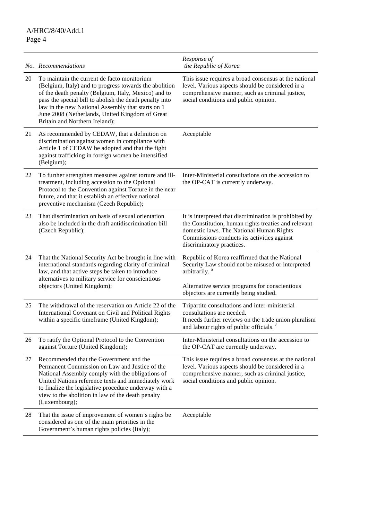|    | No. Recommendations                                                                                                                                                                                                                                                                                                                                                | Response of<br>the Republic of Korea                                                                                                                                                                                                   |
|----|--------------------------------------------------------------------------------------------------------------------------------------------------------------------------------------------------------------------------------------------------------------------------------------------------------------------------------------------------------------------|----------------------------------------------------------------------------------------------------------------------------------------------------------------------------------------------------------------------------------------|
| 20 | To maintain the current de facto moratorium<br>(Belgium, Italy) and to progress towards the abolition<br>of the death penalty (Belgium, Italy, Mexico) and to<br>pass the special bill to abolish the death penalty into<br>law in the new National Assembly that starts on 1<br>June 2008 (Netherlands, United Kingdom of Great<br>Britain and Northern Ireland); | This issue requires a broad consensus at the national<br>level. Various aspects should be considered in a<br>comprehensive manner, such as criminal justice,<br>social conditions and public opinion.                                  |
| 21 | As recommended by CEDAW, that a definition on<br>discrimination against women in compliance with<br>Article 1 of CEDAW be adopted and that the fight<br>against trafficking in foreign women be intensified<br>(Belgium);                                                                                                                                          | Acceptable                                                                                                                                                                                                                             |
| 22 | To further strengthen measures against torture and ill-<br>treatment, including accession to the Optional<br>Protocol to the Convention against Torture in the near<br>future, and that it establish an effective national<br>preventive mechanism (Czech Republic);                                                                                               | Inter-Ministerial consultations on the accession to<br>the OP-CAT is currently underway.                                                                                                                                               |
| 23 | That discrimination on basis of sexual orientation<br>also be included in the draft antidiscrimination bill<br>(Czech Republic);                                                                                                                                                                                                                                   | It is interpreted that discrimination is prohibited by<br>the Constitution, human rights treaties and relevant<br>domestic laws. The National Human Rights<br>Commissions conducts its activities against<br>discriminatory practices. |
| 24 | That the National Security Act be brought in line with<br>international standards regarding clarity of criminal<br>law, and that active steps be taken to introduce<br>alternatives to military service for conscientious<br>objectors (United Kingdom);                                                                                                           | Republic of Korea reaffirmed that the National<br>Security Law should not be misused or interpreted<br>arbitrarily. <sup>a</sup><br>Alternative service programs for conscientious<br>objectors are currently being studied.           |
| 25 | The withdrawal of the reservation on Article 22 of the<br>International Covenant on Civil and Political Rights<br>within a specific timeframe (United Kingdom);                                                                                                                                                                                                    | Tripartite consultations and inter-ministerial<br>consultations are needed.<br>It needs further reviews on the trade union pluralism<br>and labour rights of public officials. <sup>d</sup>                                            |
| 26 | To ratify the Optional Protocol to the Convention<br>against Torture (United Kingdom);                                                                                                                                                                                                                                                                             | Inter-Ministerial consultations on the accession to<br>the OP-CAT are currently underway.                                                                                                                                              |
| 27 | Recommended that the Government and the<br>Permanent Commission on Law and Justice of the<br>National Assembly comply with the obligations of<br>United Nations reference texts and immediately work<br>to finalize the legislative procedure underway with a<br>view to the abolition in law of the death penalty<br>(Luxembourg);                                | This issue requires a broad consensus at the national<br>level. Various aspects should be considered in a<br>comprehensive manner, such as criminal justice,<br>social conditions and public opinion.                                  |
| 28 | That the issue of improvement of women's rights be<br>considered as one of the main priorities in the<br>Government's human rights policies (Italy);                                                                                                                                                                                                               | Acceptable                                                                                                                                                                                                                             |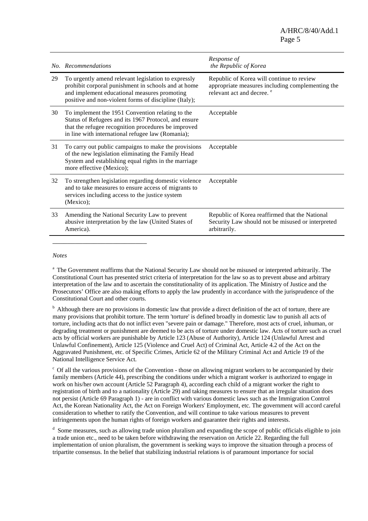A/HRC/8/40/Add.1 Page 5

|    | No. Recommendations                                                                                                                                                                                                  | Response of<br>the Republic of Korea                                                                                                   |
|----|----------------------------------------------------------------------------------------------------------------------------------------------------------------------------------------------------------------------|----------------------------------------------------------------------------------------------------------------------------------------|
| 29 | To urgently amend relevant legislation to expressly<br>prohibit corporal punishment in schools and at home<br>and implement educational measures promoting<br>positive and non-violent forms of discipline (Italy);  | Republic of Korea will continue to review<br>appropriate measures including complementing the<br>relevant act and decree. <sup>e</sup> |
| 30 | To implement the 1951 Convention relating to the<br>Status of Refugees and its 1967 Protocol, and ensure<br>that the refugee recognition procedures be improved<br>in line with international refugee law (Romania); | Acceptable                                                                                                                             |
| 31 | To carry out public campaigns to make the provisions<br>of the new legislation eliminating the Family Head<br>System and establishing equal rights in the marriage<br>more effective (Mexico);                       | Acceptable                                                                                                                             |
| 32 | To strengthen legislation regarding domestic violence<br>and to take measures to ensure access of migrants to<br>services including access to the justice system<br>(Mexico);                                        | Acceptable                                                                                                                             |
| 33 | Amending the National Security Law to prevent<br>abusive interpretation by the law (United States of<br>America).                                                                                                    | Republic of Korea reaffirmed that the National<br>Security Law should not be misused or interpreted<br>arbitrarily.                    |

#### *Notes*

\_\_\_\_\_\_\_\_\_\_\_\_\_\_\_\_\_\_\_\_\_\_\_\_\_

<sup>a</sup> The Government reaffirms that the National Security Law should not be misused or interpreted arbitrarily. The Constitutional Court has presented strict criteria of interpretation for the law so as to prevent abuse and arbitrary interpretation of the law and to ascertain the constitutionality of its application. The Ministry of Justice and the Prosecutors' Office are also making efforts to apply the law prudently in accordance with the jurisprudence of the Constitutional Court and other courts.

<sup>b</sup> Although there are no provisions in domestic law that provide a direct definition of the act of torture, there are many provisions that prohibit torture. The term 'torture' is defined broadly in domestic law to punish all acts of torture, including acts that do not inflict even "severe pain or damage." Therefore, most acts of cruel, inhuman, or degrading treatment or punishment are deemed to be acts of torture under domestic law. Acts of torture such as cruel acts by official workers are punishable by Article 123 (Abuse of Authority), Article 124 (Unlawful Arrest and Unlawful Confinement), Article 125 (Violence and Cruel Act) of Criminal Act, Article 4.2 of the Act on the Aggravated Punishment, etc. of Specific Crimes, Article 62 of the Military Criminal Act and Article 19 of the National Intelligence Service Act.

 $\epsilon$  Of all the various provisions of the Convention - those on allowing migrant workers to be accompanied by their family members (Article 44), prescribing the conditions under which a migrant worker is authorized to engage in work on his/her own account (Article 52 Paragraph 4), according each child of a migrant worker the right to registration of birth and to a nationality (Article 29) and taking measures to ensure that an irregular situation does not persist (Article 69 Paragraph 1) - are in conflict with various domestic laws such as the Immigration Control Act, the Korean Nationality Act, the Act on Foreign Workers' Employment, etc. The government will accord careful consideration to whether to ratify the Convention, and will continue to take various measures to prevent infringements upon the human rights of foreign workers and guarantee their rights and interests.

<sup>d</sup> Some measures, such as allowing trade union pluralism and expanding the scope of public officials eligible to join a trade union etc., need to be taken before withdrawing the reservation on Article 22. Regarding the full implementation of union pluralism, the government is seeking ways to improve the situation through a process of tripartite consensus. In the belief that stabilizing industrial relations is of paramount importance for social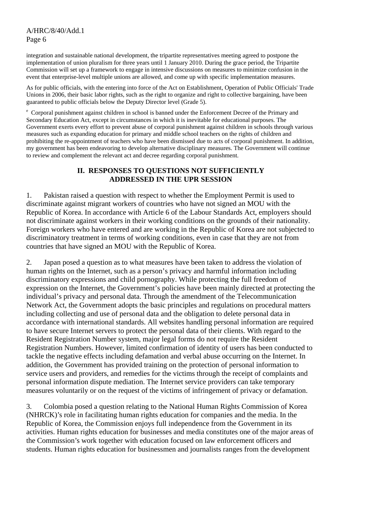## A/HRC/8/40/Add.1 Page 6

integration and sustainable national development, the tripartite representatives meeting agreed to postpone the implementation of union pluralism for three years until 1 January 2010. During the grace period, the Tripartite Commission will set up a framework to engage in intensive discussions on measures to minimize confusion in the event that enterprise-level multiple unions are allowed, and come up with specific implementation measures.

As for public officials, with the entering into force of the Act on Establishment, Operation of Public Officials' Trade Unions in 2006, their basic labor rights, such as the right to organize and right to collective bargaining, have been guaranteed to public officials below the Deputy Director level (Grade 5).

<sup>e</sup> Corporal punishment against children in school is banned under the Enforcement Decree of the Primary and Secondary Education Act, except in circumstances in which it is inevitable for educational purposes. The Government exerts every effort to prevent abuse of corporal punishment against children in schools through various measures such as expanding education for primary and middle school teachers on the rights of children and prohibiting the re-appointment of teachers who have been dismissed due to acts of corporal punishment. In addition, my government has been endeavoring to develop alternative disciplinary measures. The Government will continue to review and complement the relevant act and decree regarding corporal punishment.

## **II. RESPONSES TO QUESTIONS NOT SUFFICIENTLY ADDRESSED IN THE UPR SESSION**

1. Pakistan raised a question with respect to whether the Employment Permit is used to discriminate against migrant workers of countries who have not signed an MOU with the Republic of Korea. In accordance with Article 6 of the Labour Standards Act, employers should not discriminate against workers in their working conditions on the grounds of their nationality. Foreign workers who have entered and are working in the Republic of Korea are not subjected to discriminatory treatment in terms of working conditions, even in case that they are not from countries that have signed an MOU with the Republic of Korea.

2. Japan posed a question as to what measures have been taken to address the violation of human rights on the Internet, such as a person's privacy and harmful information including discriminatory expressions and child pornography. While protecting the full freedom of expression on the Internet, the Government's policies have been mainly directed at protecting the individual's privacy and personal data. Through the amendment of the Telecommunication Network Act, the Government adopts the basic principles and regulations on procedural matters including collecting and use of personal data and the obligation to delete personal data in accordance with international standards. All websites handling personal information are required to have secure Internet servers to protect the personal data of their clients. With regard to the Resident Registration Number system, major legal forms do not require the Resident Registration Numbers. However, limited confirmation of identity of users has been conducted to tackle the negative effects including defamation and verbal abuse occurring on the Internet. In addition, the Government has provided training on the protection of personal information to service users and providers, and remedies for the victims through the receipt of complaints and personal information dispute mediation. The Internet service providers can take temporary measures voluntarily or on the request of the victims of infringement of privacy or defamation.

3. Colombia posed a question relating to the National Human Rights Commission of Korea (NHRCK)'s role in facilitating human rights education for companies and the media. In the Republic of Korea, the Commission enjoys full independence from the Government in its activities. Human rights education for businesses and media constitutes one of the major areas of the Commission's work together with education focused on law enforcement officers and students. Human rights education for businessmen and journalists ranges from the development